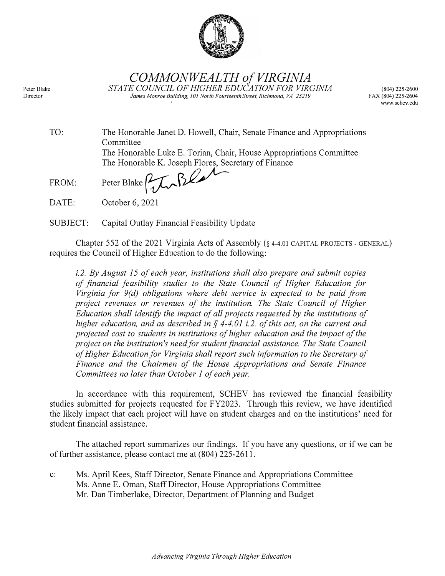

*COMMONWEALTH of VIRGINIA STATE COUNCIL OF HIGHER EDUCATION FOR VIRGINIA James Monroe Building, 101 North Fourteenth Street, Richmond, VA 23219* 

(804) 225-2600 FAX (804) 225-2604 www.schev.edu

| TO:   | The Honorable Janet D. Howell, Chair, Senate Finance and Appropriations<br>Committee |
|-------|--------------------------------------------------------------------------------------|
|       | The Honorable Luke E. Torian, Chair, House Appropriations Committee                  |
|       | The Honorable K. Joseph Flores, Secretary of Finance                                 |
| FROM: | Peter Blake Pyton Blanch                                                             |
| DATE: | October 6, 2021                                                                      |

SUBJECT: Capital Outlay Financial Feasibility Update

Chapter 552 of the 2021 Virginia Acts of Assembly(§ 4-4.01 CAPITAL PROJECTS - GENERAL) requires the Council of Higher Education to do the following:

*i.2. By August 15 of each year, institutions shall also prepare and submit copies of financial feasibility studies to the State Council of Higher Education for Virginia for 9(d) obligations where debt service is expected to be paid from project revenues or revenues of the institution. The State Council of Higher Education shall identify the impact of all projects requested by the institutions of higher education, and as described in § 4-4.01 i. 2. of this act, on the current and projected cost to students in institutions of higher education and the impact of the project on the institution's need for student financial assistance. The State Council of Higher Education for Virginia shall report such information to the Secretary of Finance and the Chairmen of the House Appropriations and Senate Finance Committees no later than October 1 of each year.*

In accordance with this requirement, SCHEY has reviewed the financial feasibility studies submitted for projects requested for FY2023. Through this review, we have identified the likely impact that each project will have on student charges and on the institutions' need for student financial assistance.

The attached report summarizes our findings. If you have any questions, or if we can be of further assistance, please contact me at (804) 225-2611.

c: Ms. April Kees, Staff Director, Senate Finance and Appropriations Committee Ms. Anne E. Oman, Staff Director, House Appropriations Committee Mr. Dan Timberlake, Director, Department of Planning and Budget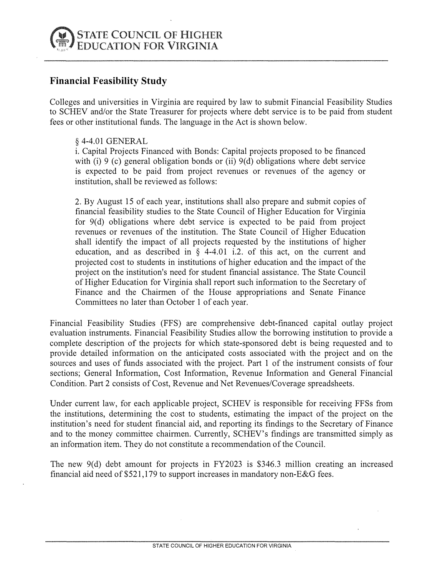

## **Financial Feasibility Study**

Colleges and universities in Virginia are required by law to submit Financial Feasibility Studies to SCHEY and/or the State Treasurer for projects where debt service is to be paid from student fees or other institutional funds. The language in the Act is shown below.

## § 4-4.01 GENERAL

i. Capital Projects Financed with Bonds: Capital projects proposed to be financed with (i) 9 (c) general obligation bonds or (ii)  $9(d)$  obligations where debt service is expected to be paid from project revenues or revenues of the agency or institution, shall be reviewed as follows:

2. By August 15 of each year, institutions shall also prepare and submit copies of financial feasibility studies to the State Council of Higher Education for Virginia for 9(d) obligations where debt service is expected to be paid from project revenues or revenues of the institution. The State Council of Higher Education shall identify the impact of all projects requested by the institutions of higher education, and as described in § 4-4.01 i.2. of this act, on the current and projected cost to students in institutions of higher education and the impact of the project on the institution's need for student financial assistance. The State Council of Higher Education for Virginia shall report such information to the Secretary of Finance and the Chairmen of the House appropriations and Senate Finance Committees no later than October 1 of each year.

Financial Feasibility Studies (FFS) are comprehensive debt-financed capital outlay project evaluation instruments. Financial Feasibility Studies allow the borrowing institution to provide a complete description of the projects for which state-sponsored debt is being requested and to provide detailed information on the anticipated costs associated with the project and on the sources and uses of funds associated with the project. Part 1 of the instrument consists of four sections; General Information, Cost Information, Revenue Information and General Financial Condition. Part 2 consists of Cost, Revenue and Net Revenues/Coverage spreadsheets.

Under current law, for each applicable project, SCHEY is responsible for receiving FFSs from the institutions, determining the cost to students, estimating the impact of the project on the institution's need for student financial aid, and reporting its findings to the Secretary of Finance and to the money committee chairmen. Currently, SCHEV's findings are transmitted simply as an information item. They do not constitute a recommendation of the Council.

The new  $9(d)$  debt amount for projects in FY2023 is \$346.3 million creating an increased financial aid need of \$521,179 to support increases in mandatory non-E&G fees.